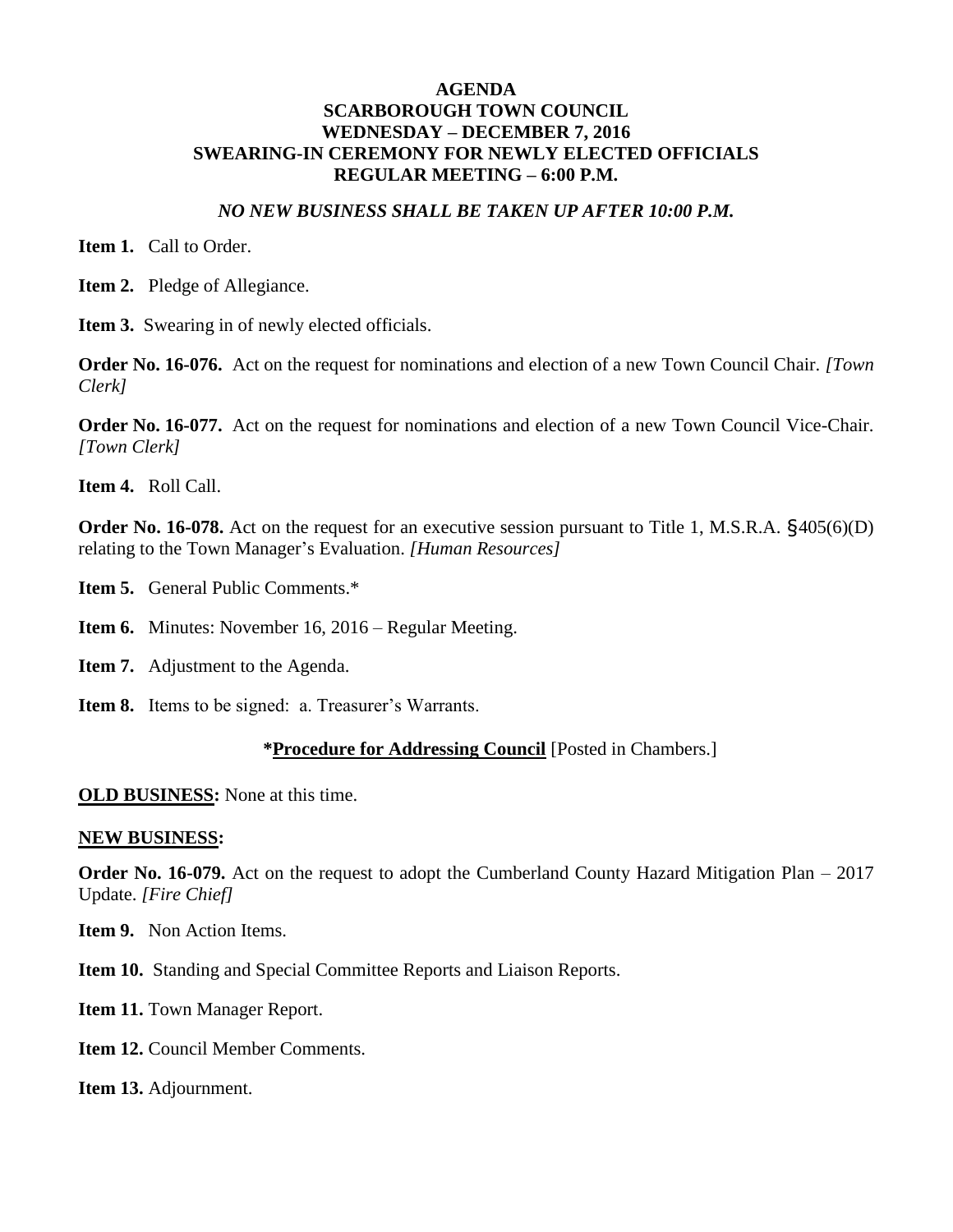#### *NO NEW BUSINESS SHALL BE TAKEN UP AFTER 10:00 P.M.*

**Item 1.** Call to Order.

**Item 2.** Pledge of Allegiance.

**Item 3.** Swearing in of newly elected officials.

**Order No. 16-076.** Act on the request for nominations and election of a new Town Council Chair. *[Town Clerk]*

**Order No. 16-077.** Act on the request for nominations and election of a new Town Council Vice-Chair. *[Town Clerk]*

**Item 4.** Roll Call.

**Order No. 16-078.** Act on the request for an executive session pursuant to Title 1, M.S.R.A.  $\S405(6)(D)$ relating to the Town Manager's Evaluation. *[Human Resources]*

**Item 5.** General Public Comments.\*

**Item 6.** Minutes: November 16, 2016 – Regular Meeting.

**Item 7.** Adjustment to the Agenda.

**Item 8.** Items to be signed: a. Treasurer's Warrants.

#### **\*Procedure for Addressing Council** [Posted in Chambers.]

**OLD BUSINESS:** None at this time.

#### **NEW BUSINESS:**

**Order No. 16-079.** Act on the request to adopt the Cumberland County Hazard Mitigation Plan – 2017 Update. *[Fire Chief]*

**Item 9.** Non Action Items.

**Item 10.** Standing and Special Committee Reports and Liaison Reports.

Item 11. Town Manager Report.

**Item 12. Council Member Comments.** 

**Item 13.** Adjournment.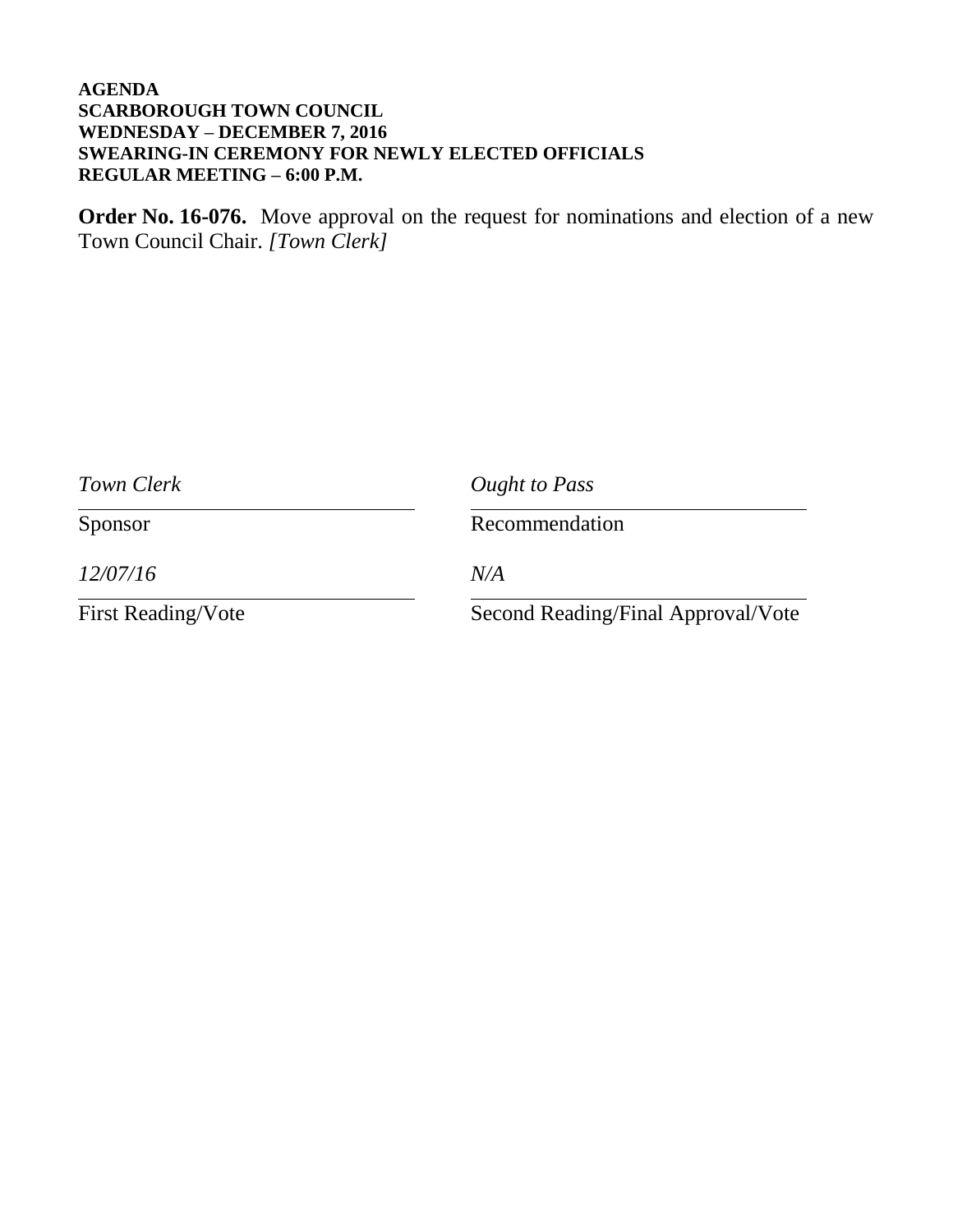**Order No. 16-076.** Move approval on the request for nominations and election of a new Town Council Chair. *[Town Clerk]*

| Town Clerk                | Ought to Pass<br>Recommendation    |  |
|---------------------------|------------------------------------|--|
| Sponsor                   |                                    |  |
| 12/07/16                  | N/A                                |  |
| <b>First Reading/Vote</b> | Second Reading/Final Approval/Vote |  |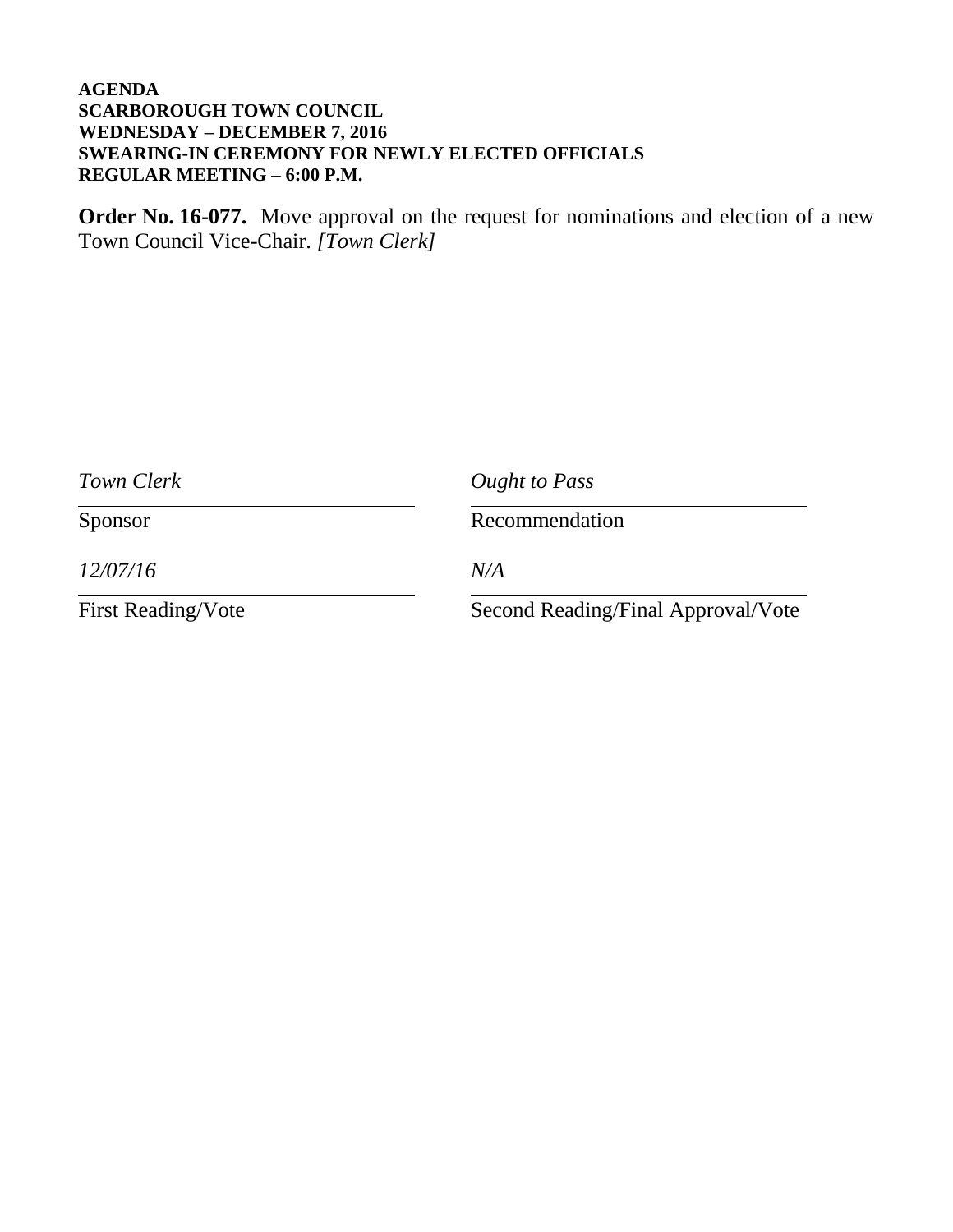**Order No. 16-077.** Move approval on the request for nominations and election of a new Town Council Vice-Chair. *[Town Clerk]*

| Town Clerk                | Ought to Pass<br>Recommendation    |  |
|---------------------------|------------------------------------|--|
| Sponsor                   |                                    |  |
| 12/07/16                  | N/A                                |  |
| <b>First Reading/Vote</b> | Second Reading/Final Approval/Vote |  |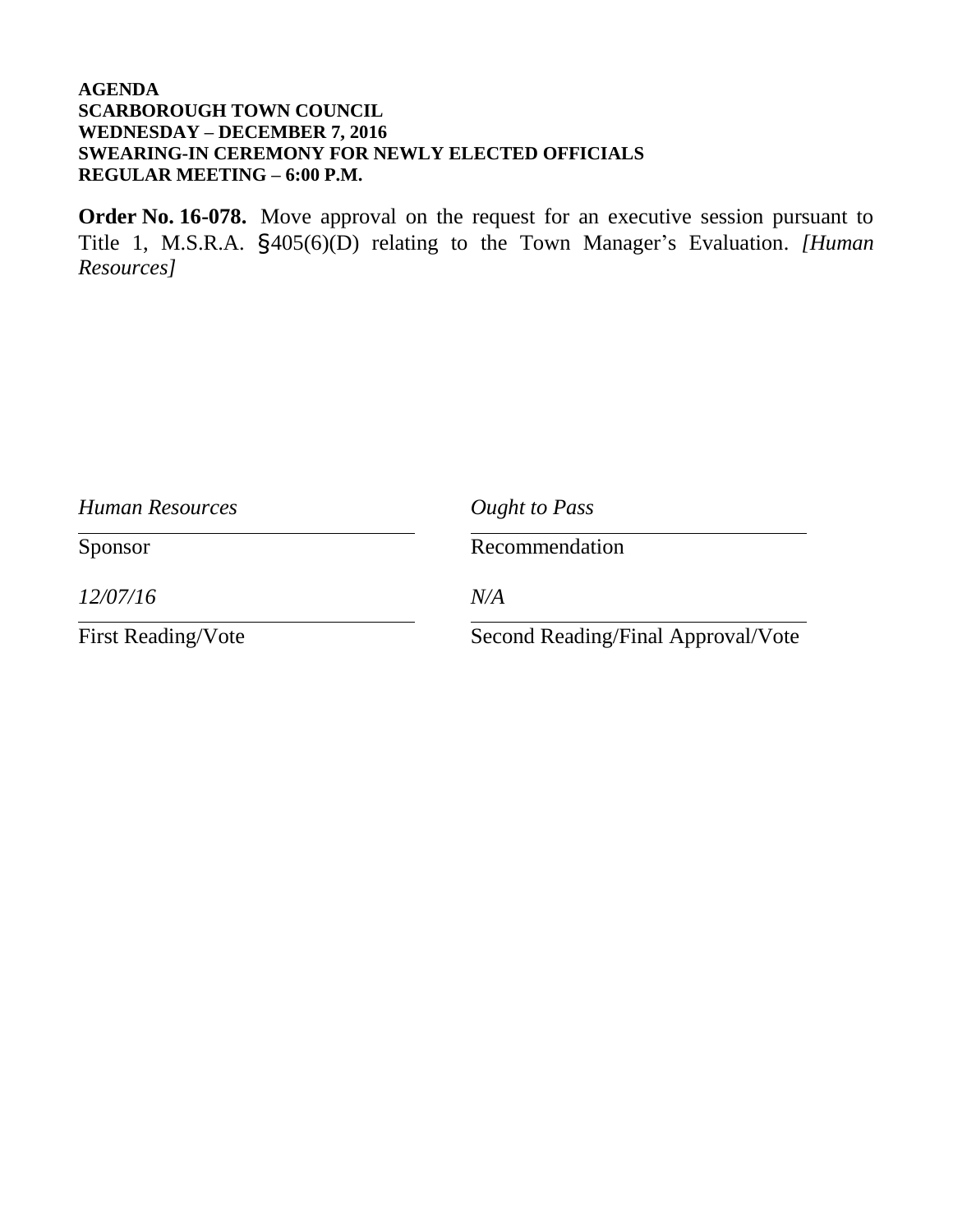**Order No. 16-078.** Move approval on the request for an executive session pursuant to Title 1, M.S.R.A. §405(6)(D) relating to the Town Manager's Evaluation. *[Human Resources]*

| Human Resources           | Ought to Pass<br>Recommendation    |  |
|---------------------------|------------------------------------|--|
| Sponsor                   |                                    |  |
| 12/07/16                  | N/A                                |  |
| <b>First Reading/Vote</b> | Second Reading/Final Approval/Vote |  |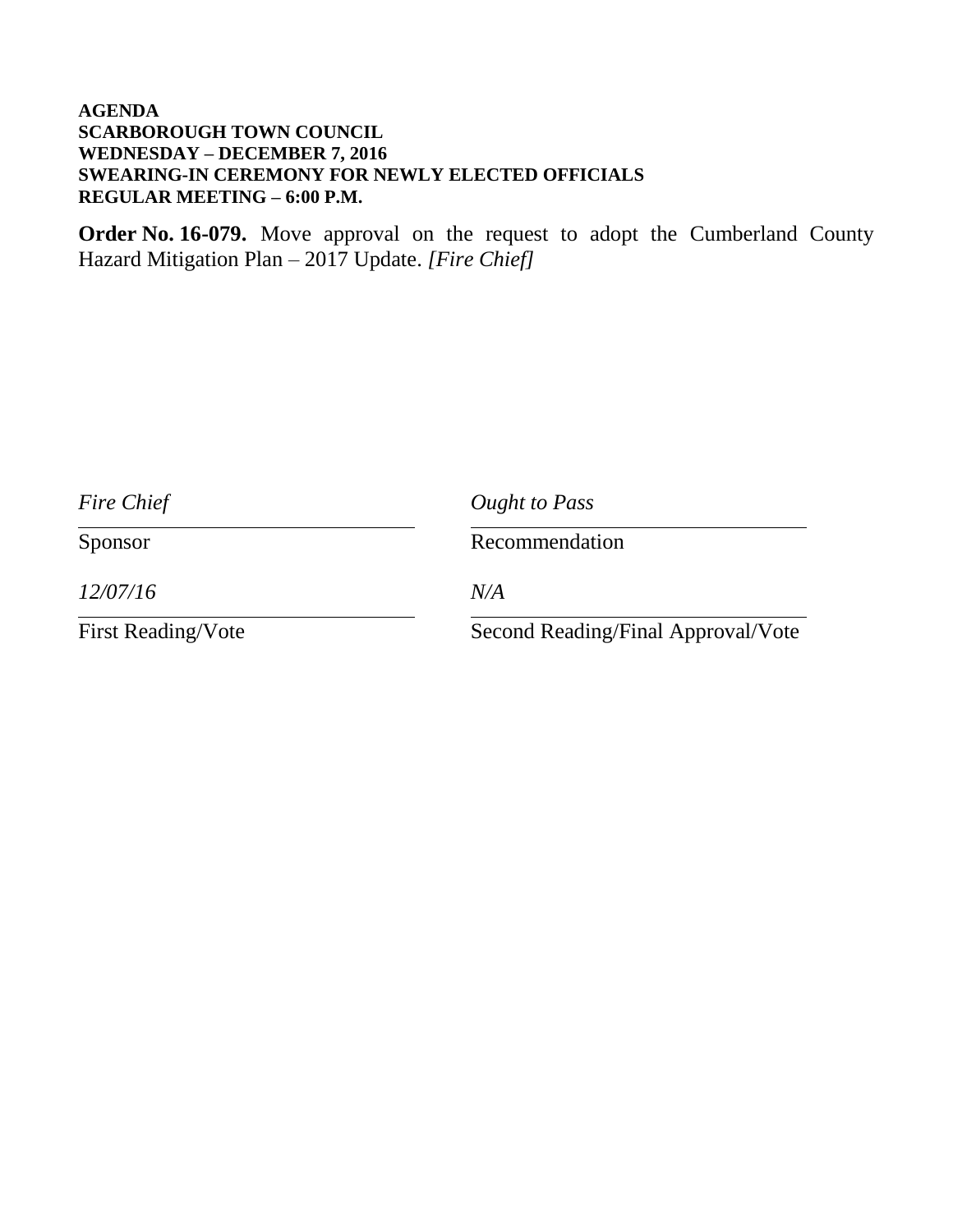**Order No. 16-079.** Move approval on the request to adopt the Cumberland County Hazard Mitigation Plan – 2017 Update. *[Fire Chief]*

| Fire Chief                | Ought to Pass<br>Recommendation    |  |
|---------------------------|------------------------------------|--|
| Sponsor                   |                                    |  |
| 12/07/16                  | N/A                                |  |
| <b>First Reading/Vote</b> | Second Reading/Final Approval/Vote |  |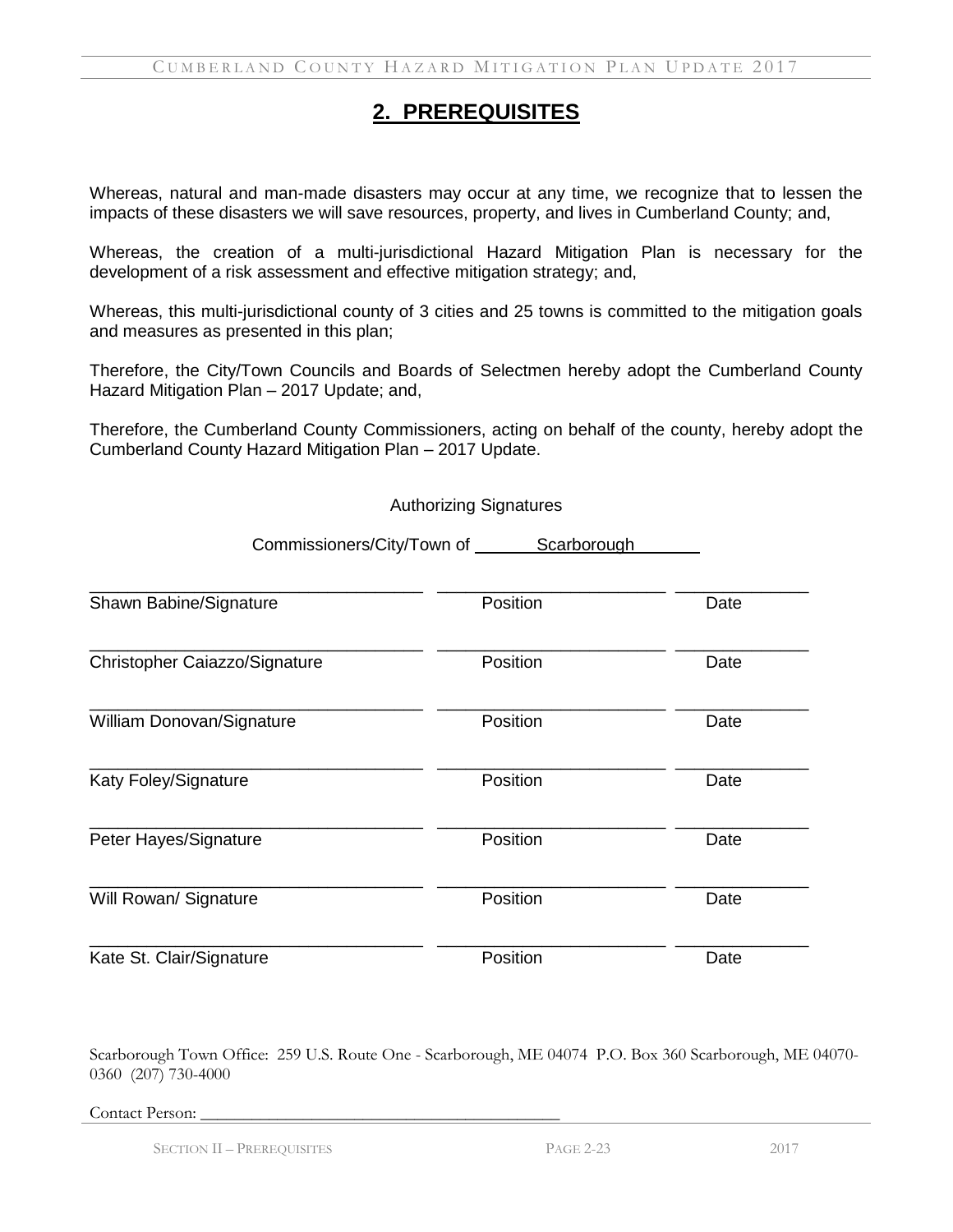### **2. PREREQUISITES**

Whereas, natural and man-made disasters may occur at any time, we recognize that to lessen the impacts of these disasters we will save resources, property, and lives in Cumberland County; and,

Whereas, the creation of a multi-jurisdictional Hazard Mitigation Plan is necessary for the development of a risk assessment and effective mitigation strategy; and,

Whereas, this multi-jurisdictional county of 3 cities and 25 towns is committed to the mitigation goals and measures as presented in this plan;

Therefore, the City/Town Councils and Boards of Selectmen hereby adopt the Cumberland County Hazard Mitigation Plan – 2017 Update; and,

Therefore, the Cumberland County Commissioners, acting on behalf of the county, hereby adopt the Cumberland County Hazard Mitigation Plan – 2017 Update.

Authorizing Signatures

| Commissioners/City/Town of    | Scarborough |      |
|-------------------------------|-------------|------|
| Shawn Babine/Signature        | Position    | Date |
| Christopher Caiazzo/Signature | Position    | Date |
| William Donovan/Signature     | Position    | Date |
| Katy Foley/Signature          | Position    | Date |
| Peter Hayes/Signature         | Position    | Date |
| Will Rowan/ Signature         | Position    | Date |
| Kate St. Clair/Signature      | Position    | Date |

Scarborough Town Office: 259 U.S. Route One - Scarborough, ME 04074 P.O. Box 360 Scarborough, ME 04070- 0360 (207) 730-4000

Contact Person:

SECTION II – PREREQUISITES PAGE 2-23 2017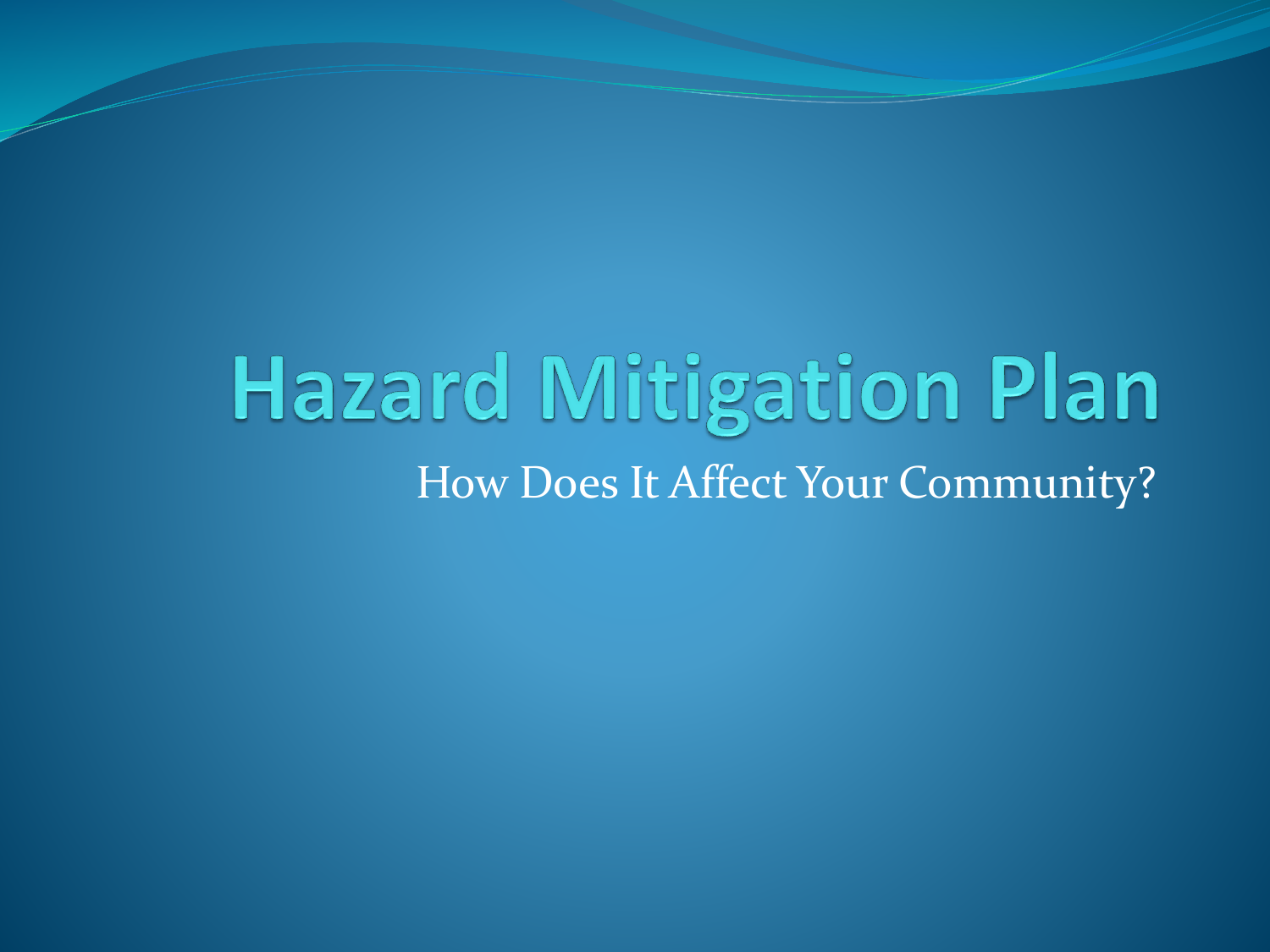## **Hazard Mitigation Plan** How Does It Affect Your Community?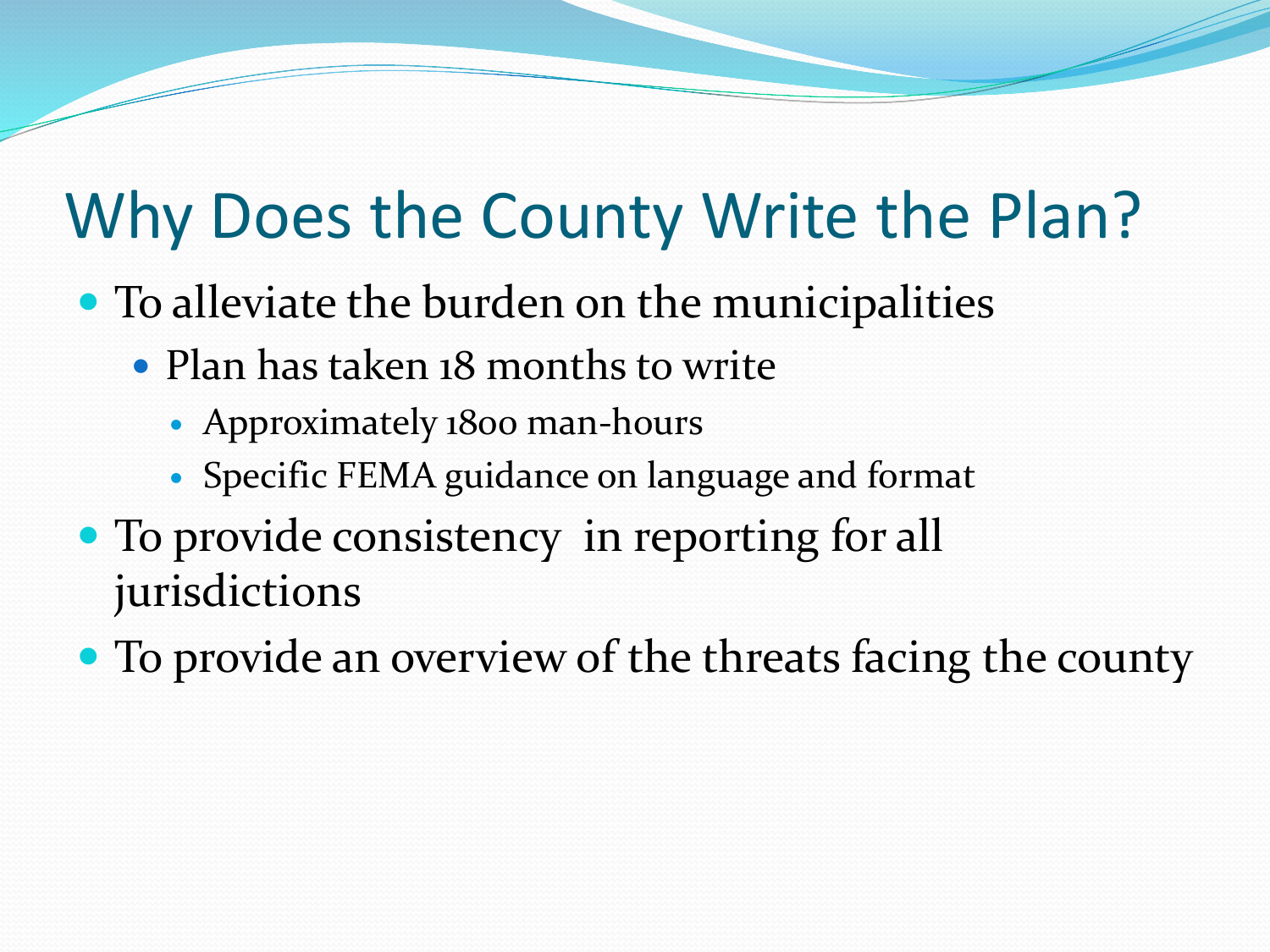## Why Does the County Write the Plan?

- To alleviate the burden on the municipalities
	- Plan has taken 18 months to write
		- Approximately 1800 man-hours
		- Specific FEMA guidance on language and format
- To provide consistency in reporting for all jurisdictions
- To provide an overview of the threats facing the county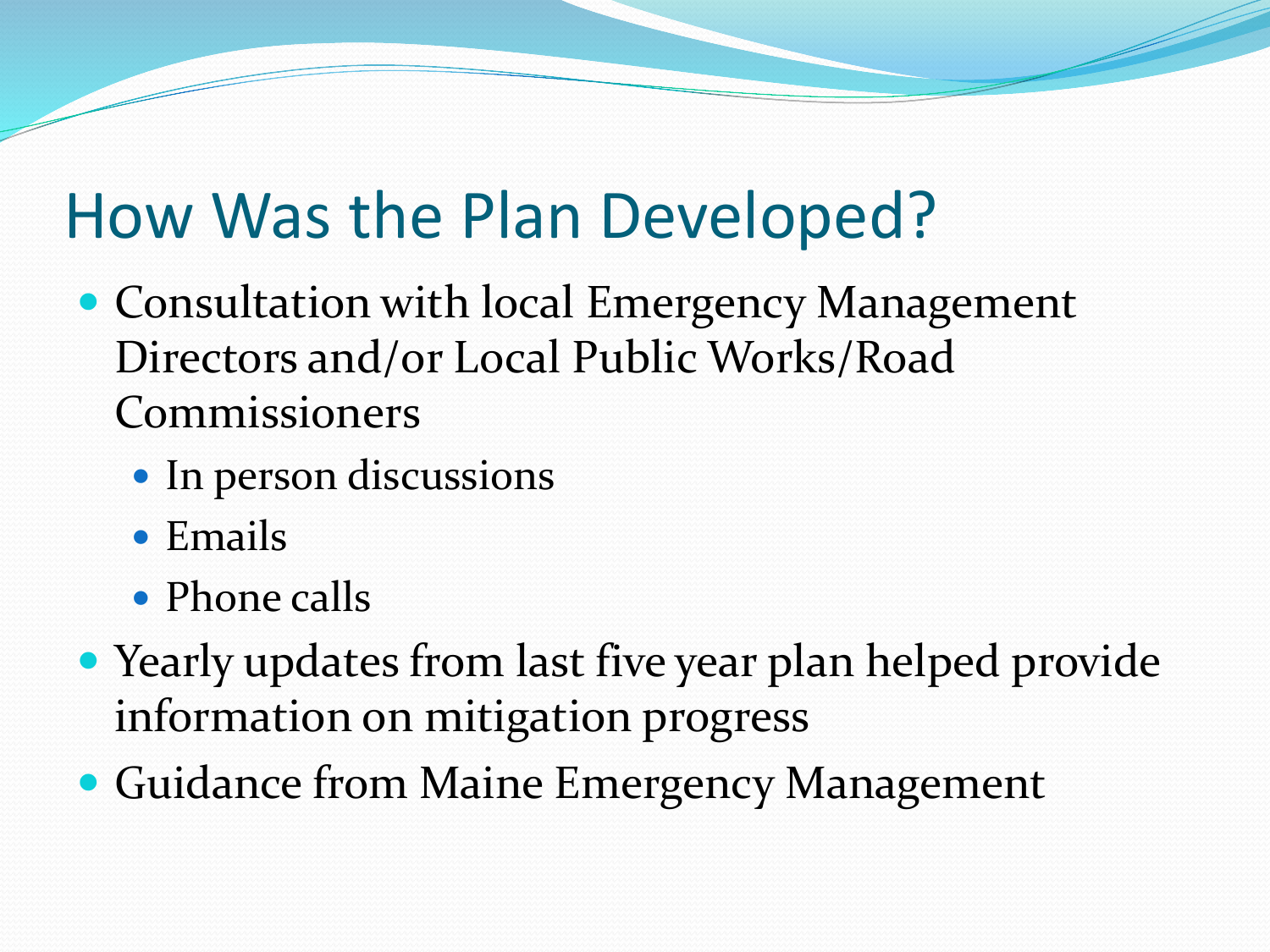## How Was the Plan Developed?

- Consultation with local Emergency Management Directors and/or Local Public Works/Road Commissioners
	- In person discussions
	- Emails
	- Phone calls
- Yearly updates from last five year plan helped provide information on mitigation progress
- Guidance from Maine Emergency Management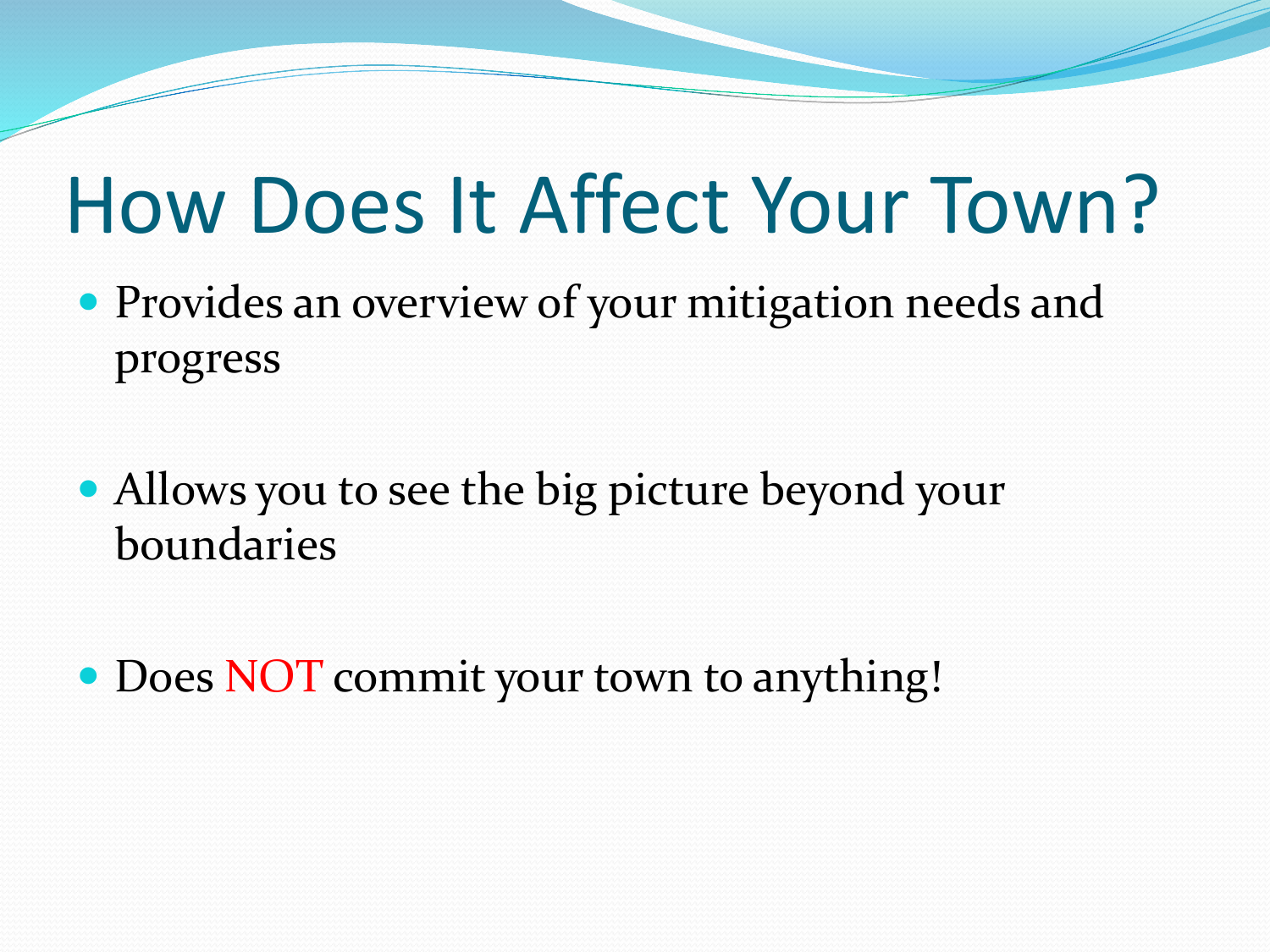# How Does It Affect Your Town?

- Provides an overview of your mitigation needs and progress
- Allows you to see the big picture beyond your boundaries
- Does NOT commit your town to anything!